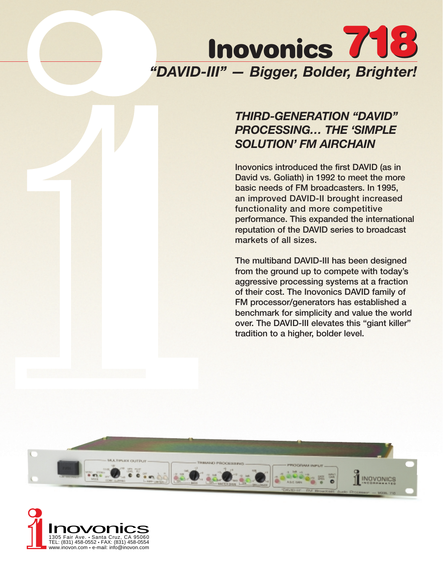

# *THIRD-GENERATION "DAVID" PROCESSING… THE 'SIMPLE SOLUTION' FM AIRCHAIN*

**Inovonics introduced the first DAVID (as in David vs. Goliath) in 1992 to meet the more basic needs of FM broadcasters. In 1995, an improved DAVID-II brought increased functionality and more competitive performance. This expanded the international reputation of the DAVID series to broadcast markets of all sizes.**

**The multiband DAVID-III has been designed from the ground up to compete with today's aggressive processing systems at a fraction of their cost. The Inovonics DAVID family of FM processor/generators has established a benchmark for simplicity and value the world over. The DAVID-III elevates this "giant killer" tradition to a higher, bolder level.**